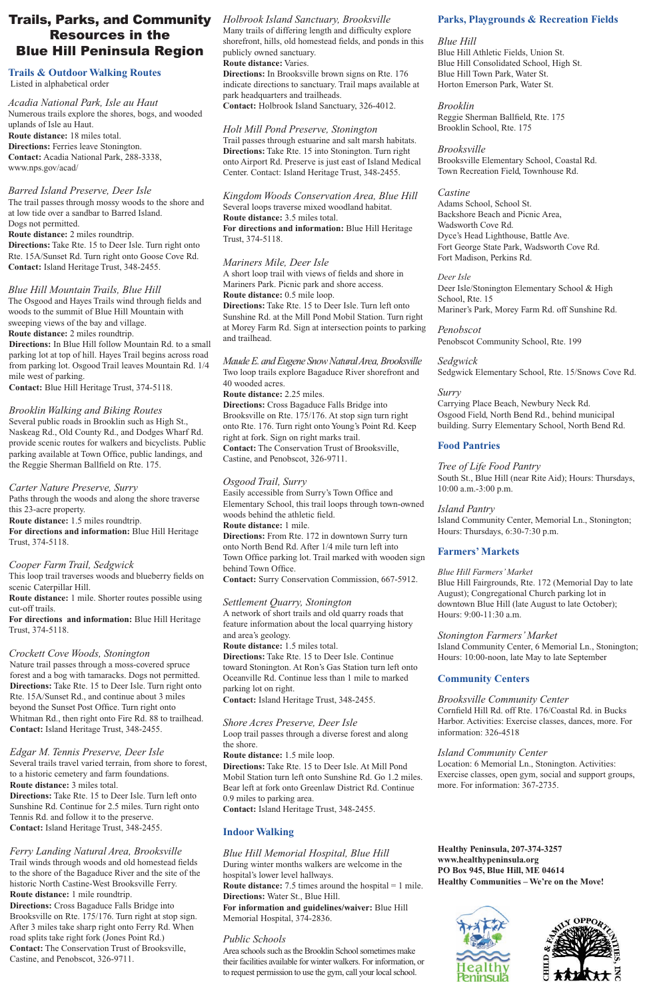# Trails, Parks, and Community Resources in the Blue Hill Peninsula Region

#### **Trails & Outdoor Walking Routes** Listed in alphabetical order

*Acadia National Park, Isle au Haut* Numerous trails explore the shores, bogs, and wooded uplands of Isle au Haut. **Route distance:** 18 miles total. **Directions:** Ferries leave Stonington. **Contact:** Acadia National Park, 288-3338, www.nps.gov/acad/

#### *Barred Island Preserve, Deer Isle*

The trail passes through mossy woods to the shore and at low tide over a sandbar to Barred Island. Dogs not permitted. **Route distance:** 2 miles roundtrip. **Directions:** Take Rte. 15 to Deer Isle. Turn right onto

Rte. 15A/Sunset Rd. Turn right onto Goose Cove Rd. **Contact:** Island Heritage Trust, 348-2455.

### *Blue Hill Mountain Trails, Blue Hill*

The Osgood and Hayes Trails wind through fields and woods to the summit of Blue Hill Mountain with sweeping views of the bay and village. **Route distance:** 2 miles roundtrip. **Directions:** In Blue Hill follow Mountain Rd. to a small parking lot at top of hill. Hayes Trail begins across road

from parking lot. Osgood Trail leaves Mountain Rd. 1/4 mile west of parking.

**Contact:** Blue Hill Heritage Trust, 374-5118.

#### *Brooklin Walking and Biking Routes*

Several public roads in Brooklin such as High St., Naskeag Rd., Old County Rd., and Dodges Wharf Rd. provide scenic routes for walkers and bicyclists. Public parking available at Town Office, public landings, and the Reggie Sherman Ballfield on Rte. 175.

## *Carter Nature Preserve, Surry*

Paths through the woods and along the shore traverse this 23-acre property. **Route distance:** 1.5 miles roundtrip. **For directions and information:** Blue Hill Heritage Trust, 374-5118.

#### *Cooper Farm Trail, Sedgwick*

This loop trail traverses woods and blueberry fields on scenic Caterpillar Hill. **Route distance:** 1 mile. Shorter routes possible using cut-off trails.

**For directions and information:** Blue Hill Heritage Trust, 374-5118.

# *Crockett Cove Woods, Stonington*

Nature trail passes through a moss-covered spruce forest and a bog with tamaracks. Dogs not permitted. **Directions:** Take Rte. 15 to Deer Isle. Turn right onto Rte. 15A/Sunset Rd., and continue about 3 miles beyond the Sunset Post Office. Turn right onto Whitman Rd., then right onto Fire Rd. 88 to trailhead. **Contact:** Island Heritage Trust, 348-2455.

*Edgar M. Tennis Preserve, Deer Isle* Several trails travel varied terrain, from shore to forest, to a historic cemetery and farm foundations. **Route distance:** 3 miles total.

**Directions:** Take Rte. 15 to Deer Isle. Turn left onto Sunshine Rd. Continue for 2.5 miles. Turn right onto Tennis Rd. and follow it to the preserve. **Contact:** Island Heritage Trust, 348-2455.

*Ferry Landing Natural Area, Brooksville* Trail winds through woods and old homestead fields to the shore of the Bagaduce River and the site of the historic North Castine-West Brooksville Ferry. **Route distance:** 1 mile roundtrip. **Directions:** Cross Bagaduce Falls Bridge into Brooksville on Rte. 175/176. Turn right at stop sign. After 3 miles take sharp right onto Ferry Rd. When road splits take right fork (Jones Point Rd.) **Contact:** The Conservation Trust of Brooksville, Castine, and Penobscot, 326-9711.

# *Holbrook Island Sanctuary, Brooksville*

Many trails of differing length and difficulty explore shorefront, hills, old homestead fields, and ponds in this publicly owned sanctuary. **Route distance:** Varies.

**Directions:** In Brooksville brown signs on Rte. 176 indicate directions to sanctuary. Trail maps available at park headquarters and trailheads. **Contact:** Holbrook Island Sanctuary, 326-4012.

*Holt Mill Pond Preserve, Stonington* Trail passes through estuarine and salt marsh habitats. **Directions:** Take Rte. 15 into Stonington. Turn right onto Airport Rd. Preserve is just east of Island Medical Center. Contact: Island Heritage Trust, 348-2455.

*Kingdom Woods Conservation Area, Blue Hill* Several loops traverse mixed woodland habitat. **Route distance:** 3.5 miles total. **For directions and information:** Blue Hill Heritage Trust, 374-5118.

### *Mariners Mile, Deer Isle*

A short loop trail with views of fields and shore in Mariners Park. Picnic park and shore access. **Route distance:** 0.5 mile loop. **Directions:** Take Rte. 15 to Deer Isle. Turn left onto Sunshine Rd. at the Mill Pond Mobil Station. Turn right at Morey Farm Rd. Sign at intersection points to parking and trailhead.

*Maude E. and Eugene Snow Natural Area, Brooksville* Two loop trails explore Bagaduce River shorefront and 40 wooded acres.

**Route distance:** 2.25 miles. **Directions:** Cross Bagaduce Falls Bridge into Brooksville on Rte. 175/176. At stop sign turn right onto Rte. 176. Turn right onto Young's Point Rd. Keep right at fork. Sign on right marks trail. **Contact:** The Conservation Trust of Brooksville, Castine, and Penobscot, 326-9711.

### *Osgood Trail, Surry*

Easily accessible from Surry's Town Office and Elementary School, this trail loops through town-owned woods behind the athletic field. **Route distance:** 1 mile. **Directions:** From Rte. 172 in downtown Surry turn onto North Bend Rd. After 1/4 mile turn left into Town Office parking lot. Trail marked with wooden sign behind Town Office. **Contact:** Surry Conservation Commission, 667-5912.

### *Settlement Quarry, Stonington*

A network of short trails and old quarry roads that feature information about the local quarrying history and area's geology.

**Route distance:** 1.5 miles total. **Directions:** Take Rte. 15 to Deer Isle. Continue toward Stonington. At Ron's Gas Station turn left onto Oceanville Rd. Continue less than 1 mile to marked parking lot on right.

**Contact:** Island Heritage Trust, 348-2455.

*Shore Acres Preserve, Deer Isle* Loop trail passes through a diverse forest and along the shore.

**Route distance:** 1.5 mile loop.

**Directions:** Take Rte. 15 to Deer Isle. At Mill Pond Mobil Station turn left onto Sunshine Rd. Go 1.2 miles. Bear left at fork onto Greenlaw District Rd. Continue 0.9 miles to parking area.

**Contact:** Island Heritage Trust, 348-2455.

# **Indoor Walking**

*Blue Hill Memorial Hospital, Blue Hill* During winter months walkers are welcome in the hospital's lower level hallways. **Route distance:** 7.5 times around the hospital = 1 mile. **Directions:** Water St., Blue Hill. **For information and guidelines/waiver:** Blue Hill Memorial Hospital, 374-2836.

#### *Public Schools*

Area schools such as the Brooklin School sometimes make their facilities available for winter walkers. For information, or to request permission to use the gym, call your local school.

### **Parks, Playgrounds & Recreation Fields**

#### *Blue Hill*

Blue Hill Athletic Fields, Union St. Blue Hill Consolidated School, High St. Blue Hill Town Park, Water St. Horton Emerson Park, Water St.

# *Brooklin*

Reggie Sherman Ballfield, Rte. 175 Brooklin School, Rte. 175

#### *Brooksville*

Brooksville Elementary School, Coastal Rd. Town Recreation Field, Townhouse Rd.

### *Castine*

Adams School, School St. Backshore Beach and Picnic Area, Wadsworth Cove Rd. Dyce's Head Lighthouse, Battle Ave. Fort George State Park, Wadsworth Cove Rd. Fort Madison, Perkins Rd.

*Deer Isle* Deer Isle/Stonington Elementary School & High School, Rte. 15 Mariner's Park, Morey Farm Rd. off Sunshine Rd.

*Penobscot* Penobscot Community School, Rte. 199

*Sedgwick*  Sedgwick Elementary School, Rte. 15/Snows Cove Rd.

### *Surry*

Carrying Place Beach, Newbury Neck Rd. Osgood Field, North Bend Rd., behind municipal building. Surry Elementary School, North Bend Rd.

# **Food Pantries**

#### *Tree of Life Food Pantry* South St., Blue Hill (near Rite Aid); Hours: Thursdays, 10:00 a.m.-3:00 p.m.

# *Island Pantry*

Island Community Center, Memorial Ln., Stonington; Hours: Thursdays, 6:30-7:30 p.m.

# **Farmers' Markets**

#### *Blue Hill Farmers' Market*

Blue Hill Fairgrounds, Rte. 172 (Memorial Day to late August); Congregational Church parking lot in downtown Blue Hill (late August to late October); Hours: 9:00-11:30 a.m.

### *Stonington Farmers' Market*

Island Community Center, 6 Memorial Ln., Stonington; Hours: 10:00-noon, late May to late September

# **Community Centers**

# *Brooksville Community Center*

Cornfield Hill Rd. off Rte. 176/Coastal Rd. in Bucks Harbor. Activities: Exercise classes, dances, more. For information: 326-4518

#### *Island Community Center*

Location: 6 Memorial Ln., Stonington. Activities: Exercise classes, open gym, social and support groups, more. For information: 367-2735.

**Healthy Peninsula, 207-374-3257 www.healthypeninsula.org PO Box 945, Blue Hill, ME 04614 Healthy Communities – We're on the Move!**